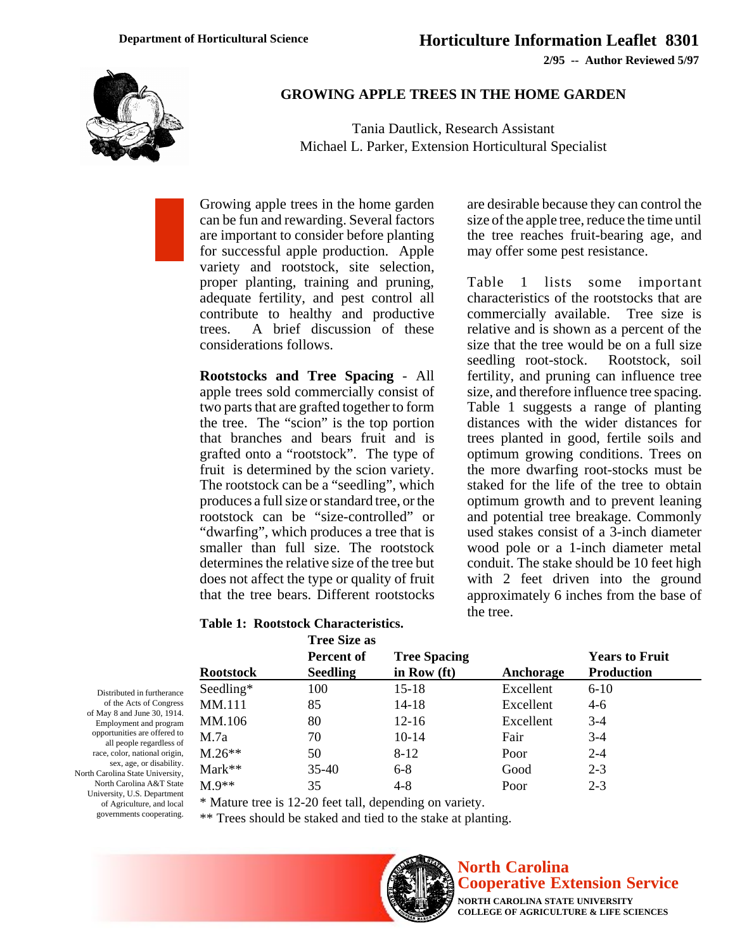**2/95 -- Author Reviewed 5/97**



### **GROWING APPLE TREES IN THE HOME GARDEN**

Tania Dautlick, Research Assistant Michael L. Parker, Extension Horticultural Specialist

Growing apple trees in the home garden can be fun and rewarding. Several factors are important to consider before planting for successful apple production. Apple variety and rootstock, site selection, proper planting, training and pruning, adequate fertility, and pest control all contribute to healthy and productive trees. A brief discussion of these considerations follows.

**Rootstocks and Tree Spacing** - All apple trees sold commercially consist of two parts that are grafted together to form the tree. The "scion" is the top portion that branches and bears fruit and is grafted onto a "rootstock". The type of fruit is determined by the scion variety. The rootstock can be a "seedling", which produces a full size or standard tree, or the rootstock can be "size-controlled" or "dwarfing", which produces a tree that is smaller than full size. The rootstock determines the relative size of the tree but does not affect the type or quality of fruit that the tree bears. Different rootstocks

are desirable because they can control the size of the apple tree, reduce the time until the tree reaches fruit-bearing age, and may offer some pest resistance.

Table 1 lists some important characteristics of the rootstocks that are commercially available. Tree size is relative and is shown as a percent of the size that the tree would be on a full size seedling root-stock. Rootstock, soil fertility, and pruning can influence tree size, and therefore influence tree spacing. Table 1 suggests a range of planting distances with the wider distances for trees planted in good, fertile soils and optimum growing conditions. Trees on the more dwarfing root-stocks must be staked for the life of the tree to obtain optimum growth and to prevent leaning and potential tree breakage. Commonly used stakes consist of a 3-inch diameter wood pole or a 1-inch diameter metal conduit. The stake should be 10 feet high with 2 feet driven into the ground approximately 6 inches from the base of the tree.

#### **Table 1: Rootstock Characteristics.**

|                  | <b>Tree Size as</b> |                     |           |                                            |  |
|------------------|---------------------|---------------------|-----------|--------------------------------------------|--|
| <b>Rootstock</b> | Percent of          | <b>Tree Spacing</b> | Anchorage | <b>Years to Fruit</b><br><b>Production</b> |  |
|                  | <b>Seedling</b>     | in Row (ft)         |           |                                            |  |
| Seedling*        | 100                 | $15 - 18$           | Excellent | $6-10$                                     |  |
| MM.111           | 85                  | 14-18               | Excellent | $4-6$                                      |  |
| MM.106           | 80                  | $12 - 16$           | Excellent | $3-4$                                      |  |
| M.7a             | 70                  | $10-14$             | Fair      | $3-4$                                      |  |
| $M.26**$         | 50                  | $8 - 12$            | Poor      | $2 - 4$                                    |  |
| $Mark**$         | $35-40$             | $6 - 8$             | Good      | $2 - 3$                                    |  |
| $M.9**$          | 35                  | $4 - 8$             | Poor      | $2 - 3$                                    |  |

\* Mature tree is 12-20 feet tall, depending on variety.

\*\* Trees should be staked and tied to the stake at planting.



# **North Carolina Cooperative Extension Service**

**NORTH CAROLINA STATE UNIVERSITY COLLEGE OF AGRICULTURE & LIFE SCIENCES**

Distributed in furtherance of the Acts of Congress of May 8 and June 30, 1914. Employment and program opportunities are offered to all people regardless of race, color, national origin, sex, age, or disability. North Carolina State University, North Carolina A&T State University, U.S. Department of Agriculture, and local governments cooperating.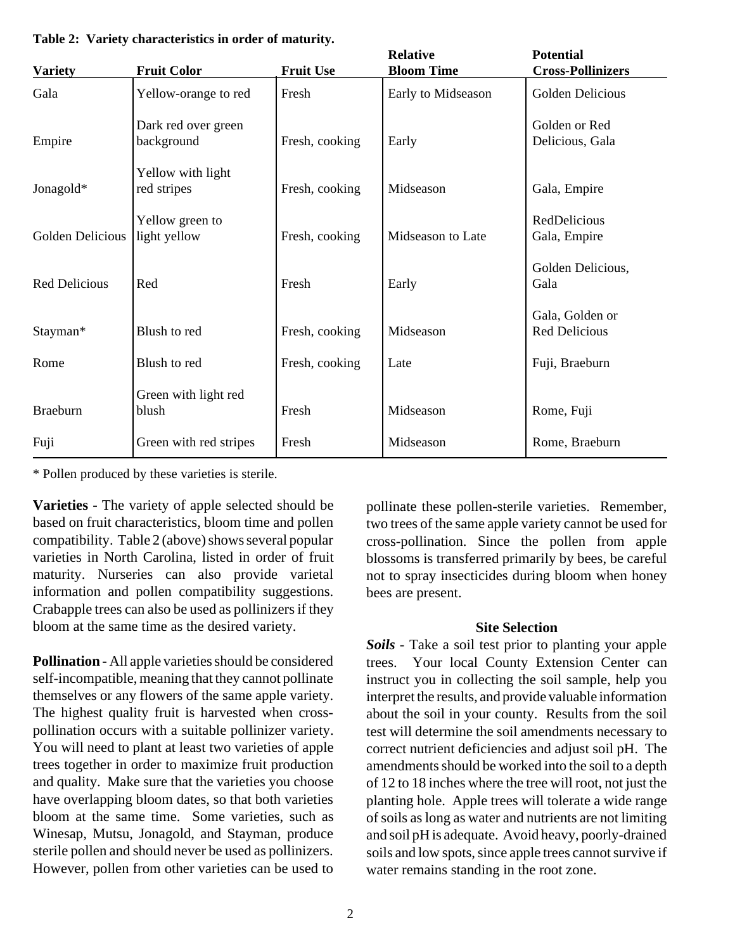| <b>Variety</b>       | <b>Fruit Color</b>                | <b>Fruit Use</b> | <b>Relative</b><br><b>Bloom Time</b> | <b>Potential</b><br><b>Cross-Pollinizers</b> |
|----------------------|-----------------------------------|------------------|--------------------------------------|----------------------------------------------|
| Gala                 | Yellow-orange to red              | Fresh            | Early to Midseason                   | Golden Delicious                             |
| Empire               | Dark red over green<br>background | Fresh, cooking   | Early                                | Golden or Red<br>Delicious, Gala             |
| Jonagold*            | Yellow with light<br>red stripes  | Fresh, cooking   | Midseason                            | Gala, Empire                                 |
| Golden Delicious     | Yellow green to<br>light yellow   | Fresh, cooking   | Midseason to Late                    | RedDelicious<br>Gala, Empire                 |
| <b>Red Delicious</b> | Red                               | Fresh            | Early                                | Golden Delicious,<br>Gala                    |
| Stayman*             | Blush to red                      | Fresh, cooking   | Midseason                            | Gala, Golden or<br><b>Red Delicious</b>      |
| Rome                 | Blush to red                      | Fresh, cooking   | Late                                 | Fuji, Braeburn                               |
| <b>Braeburn</b>      | Green with light red<br>blush     | Fresh            | Midseason                            | Rome, Fuji                                   |
| Fuji                 | Green with red stripes            | Fresh            | Midseason                            | Rome, Braeburn                               |

**Table 2: Variety characteristics in order of maturity.**

\* Pollen produced by these varieties is sterile.

**Varieties -** The variety of apple selected should be based on fruit characteristics, bloom time and pollen compatibility. Table 2 (above) shows several popular varieties in North Carolina, listed in order of fruit maturity. Nurseries can also provide varietal information and pollen compatibility suggestions. Crabapple trees can also be used as pollinizers if they bloom at the same time as the desired variety.

**Pollination -** All apple varieties should be considered self-incompatible, meaning that they cannot pollinate themselves or any flowers of the same apple variety. The highest quality fruit is harvested when crosspollination occurs with a suitable pollinizer variety. You will need to plant at least two varieties of apple trees together in order to maximize fruit production and quality. Make sure that the varieties you choose have overlapping bloom dates, so that both varieties bloom at the same time. Some varieties, such as Winesap, Mutsu, Jonagold, and Stayman, produce sterile pollen and should never be used as pollinizers. However, pollen from other varieties can be used to pollinate these pollen-sterile varieties. Remember, two trees of the same apple variety cannot be used for cross-pollination. Since the pollen from apple blossoms is transferred primarily by bees, be careful not to spray insecticides during bloom when honey bees are present.

#### **Site Selection**

*Soils -* Take a soil test prior to planting your apple trees. Your local County Extension Center can instruct you in collecting the soil sample, help you interpret the results, and provide valuable information about the soil in your county. Results from the soil test will determine the soil amendments necessary to correct nutrient deficiencies and adjust soil pH. The amendments should be worked into the soil to a depth of 12 to 18 inches where the tree will root, not just the planting hole. Apple trees will tolerate a wide range of soils as long as water and nutrients are not limiting and soil pH is adequate. Avoid heavy, poorly-drained soils and low spots, since apple trees cannot survive if water remains standing in the root zone.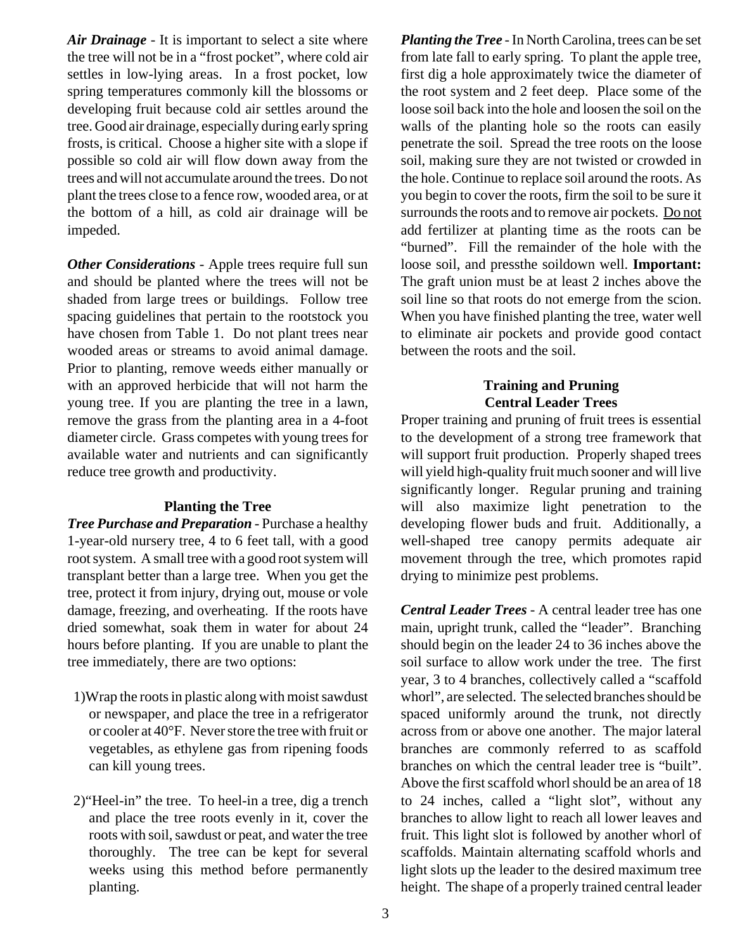*Air Drainage -* It is important to select a site where the tree will not be in a "frost pocket", where cold air settles in low-lying areas. In a frost pocket, low spring temperatures commonly kill the blossoms or developing fruit because cold air settles around the tree. Good air drainage, especially during early spring frosts, is critical. Choose a higher site with a slope if possible so cold air will flow down away from the trees and will not accumulate around the trees. Do not plant the trees close to a fence row, wooded area, or at the bottom of a hill, as cold air drainage will be impeded.

*Other Considerations* - Apple trees require full sun and should be planted where the trees will not be shaded from large trees or buildings. Follow tree spacing guidelines that pertain to the rootstock you have chosen from Table 1. Do not plant trees near wooded areas or streams to avoid animal damage. Prior to planting, remove weeds either manually or with an approved herbicide that will not harm the young tree. If you are planting the tree in a lawn, remove the grass from the planting area in a 4-foot diameter circle. Grass competes with young trees for available water and nutrients and can significantly reduce tree growth and productivity.

# **Planting the Tree**

*Tree Purchase and Preparation -* Purchase a healthy 1-year-old nursery tree, 4 to 6 feet tall, with a good root system. A small tree with a good root system will transplant better than a large tree. When you get the tree, protect it from injury, drying out, mouse or vole damage, freezing, and overheating. If the roots have dried somewhat, soak them in water for about 24 hours before planting. If you are unable to plant the tree immediately, there are two options:

- 1)Wrap the roots in plastic along with moist sawdust or newspaper, and place the tree in a refrigerator or cooler at 40°F. Never store the tree with fruit or vegetables, as ethylene gas from ripening foods can kill young trees.
- 2)"Heel-in" the tree. To heel-in a tree, dig a trench and place the tree roots evenly in it, cover the roots with soil, sawdust or peat, and water the tree thoroughly. The tree can be kept for several weeks using this method before permanently planting.

*Planting the Tree -* In North Carolina, trees can be set from late fall to early spring. To plant the apple tree, first dig a hole approximately twice the diameter of the root system and 2 feet deep. Place some of the loose soil back into the hole and loosen the soil on the walls of the planting hole so the roots can easily penetrate the soil. Spread the tree roots on the loose soil, making sure they are not twisted or crowded in the hole. Continue to replace soil around the roots. As you begin to cover the roots, firm the soil to be sure it surrounds the roots and to remove air pockets. Do not add fertilizer at planting time as the roots can be "burned". Fill the remainder of the hole with the loose soil, and pressthe soildown well. **Important:** The graft union must be at least 2 inches above the soil line so that roots do not emerge from the scion. When you have finished planting the tree, water well to eliminate air pockets and provide good contact between the roots and the soil.

# **Training and Pruning Central Leader Trees**

Proper training and pruning of fruit trees is essential to the development of a strong tree framework that will support fruit production. Properly shaped trees will yield high-quality fruit much sooner and will live significantly longer. Regular pruning and training will also maximize light penetration to the developing flower buds and fruit. Additionally, a well-shaped tree canopy permits adequate air movement through the tree, which promotes rapid drying to minimize pest problems.

*Central Leader Trees -* A central leader tree has one main, upright trunk, called the "leader". Branching should begin on the leader 24 to 36 inches above the soil surface to allow work under the tree. The first year, 3 to 4 branches, collectively called a "scaffold whorl", are selected. The selected branches should be spaced uniformly around the trunk, not directly across from or above one another. The major lateral branches are commonly referred to as scaffold branches on which the central leader tree is "built". Above the first scaffold whorl should be an area of 18 to 24 inches, called a "light slot", without any branches to allow light to reach all lower leaves and fruit. This light slot is followed by another whorl of scaffolds. Maintain alternating scaffold whorls and light slots up the leader to the desired maximum tree height. The shape of a properly trained central leader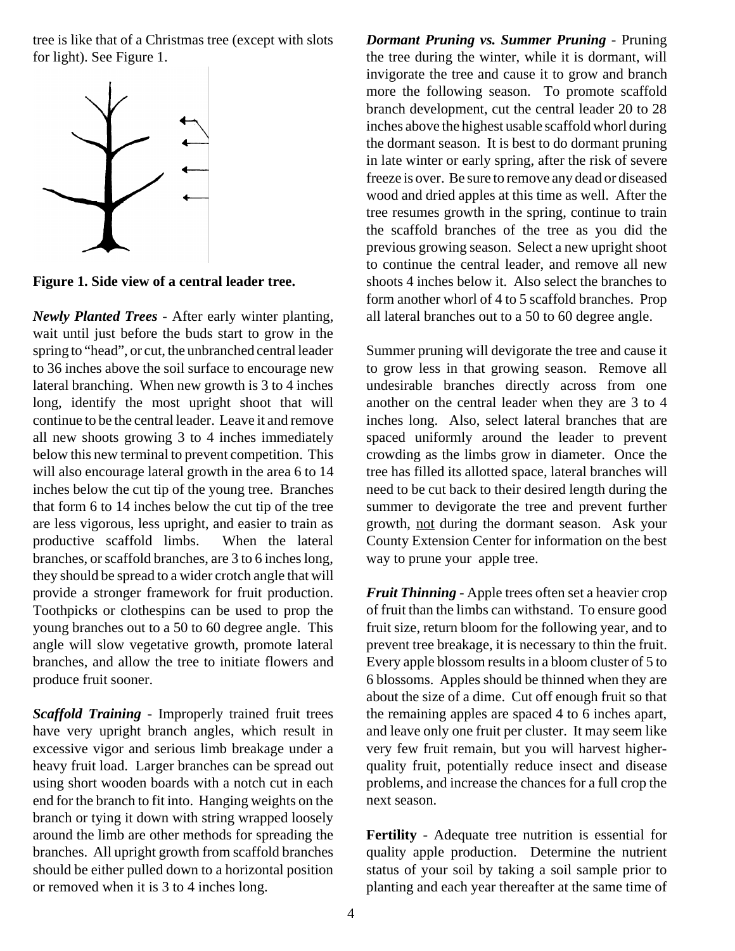tree is like that of a Christmas tree (except with slots for light). See Figure 1.



**Figure 1. Side view of a central leader tree.**

*Newly Planted Trees -* After early winter planting, wait until just before the buds start to grow in the spring to "head", or cut, the unbranched central leader to 36 inches above the soil surface to encourage new lateral branching. When new growth is 3 to 4 inches long, identify the most upright shoot that will continue to be the central leader. Leave it and remove all new shoots growing 3 to 4 inches immediately below this new terminal to prevent competition. This will also encourage lateral growth in the area 6 to 14 inches below the cut tip of the young tree. Branches that form 6 to 14 inches below the cut tip of the tree are less vigorous, less upright, and easier to train as productive scaffold limbs. When the lateral branches, or scaffold branches, are 3 to 6 inches long, they should be spread to a wider crotch angle that will provide a stronger framework for fruit production. Toothpicks or clothespins can be used to prop the young branches out to a 50 to 60 degree angle. This angle will slow vegetative growth, promote lateral branches, and allow the tree to initiate flowers and produce fruit sooner.

*Scaffold Training -* Improperly trained fruit trees have very upright branch angles, which result in excessive vigor and serious limb breakage under a heavy fruit load. Larger branches can be spread out using short wooden boards with a notch cut in each end for the branch to fit into. Hanging weights on the branch or tying it down with string wrapped loosely around the limb are other methods for spreading the branches. All upright growth from scaffold branches should be either pulled down to a horizontal position or removed when it is 3 to 4 inches long.

*Dormant Pruning vs. Summer Pruning -* Pruning the tree during the winter, while it is dormant, will invigorate the tree and cause it to grow and branch more the following season. To promote scaffold branch development, cut the central leader 20 to 28 inches above the highest usable scaffold whorl during the dormant season. It is best to do dormant pruning in late winter or early spring, after the risk of severe freeze is over. Be sure to remove any dead or diseased wood and dried apples at this time as well. After the tree resumes growth in the spring, continue to train the scaffold branches of the tree as you did the previous growing season. Select a new upright shoot to continue the central leader, and remove all new shoots 4 inches below it. Also select the branches to form another whorl of 4 to 5 scaffold branches. Prop all lateral branches out to a 50 to 60 degree angle.

Summer pruning will devigorate the tree and cause it to grow less in that growing season. Remove all undesirable branches directly across from one another on the central leader when they are 3 to 4 inches long. Also, select lateral branches that are spaced uniformly around the leader to prevent crowding as the limbs grow in diameter. Once the tree has filled its allotted space, lateral branches will need to be cut back to their desired length during the summer to devigorate the tree and prevent further growth, not during the dormant season. Ask your County Extension Center for information on the best way to prune your apple tree.

*Fruit Thinning* - Apple trees often set a heavier crop of fruit than the limbs can withstand. To ensure good fruit size, return bloom for the following year, and to prevent tree breakage, it is necessary to thin the fruit. Every apple blossom results in a bloom cluster of 5 to 6 blossoms. Apples should be thinned when they are about the size of a dime. Cut off enough fruit so that the remaining apples are spaced 4 to 6 inches apart, and leave only one fruit per cluster. It may seem like very few fruit remain, but you will harvest higherquality fruit, potentially reduce insect and disease problems, and increase the chances for a full crop the next season.

**Fertility** - Adequate tree nutrition is essential for quality apple production. Determine the nutrient status of your soil by taking a soil sample prior to planting and each year thereafter at the same time of